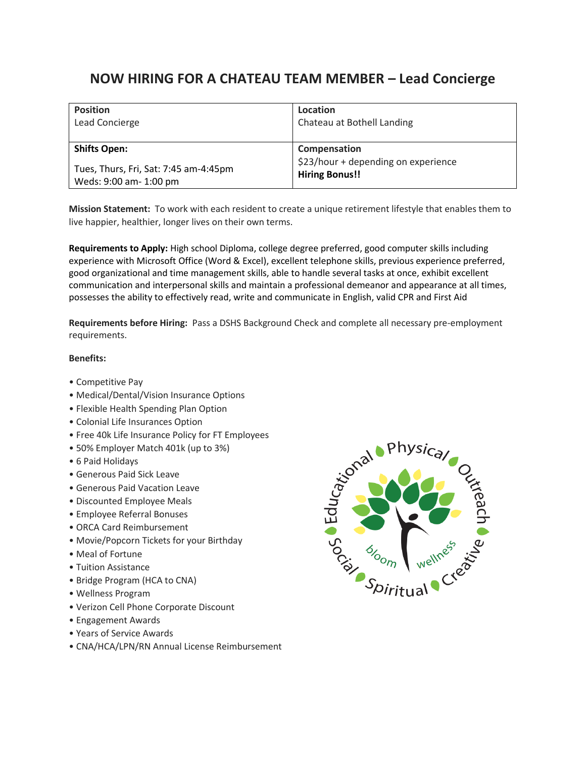## **NOW HIRING FOR A CHATEAU TEAM MEMBER – Lead Concierge**

| <b>Position</b>                       | Location                            |
|---------------------------------------|-------------------------------------|
| Lead Concierge                        | Chateau at Bothell Landing          |
| <b>Shifts Open:</b>                   | Compensation                        |
| Tues, Thurs, Fri, Sat: 7:45 am-4:45pm | \$23/hour + depending on experience |
| Weds: 9:00 am- 1:00 pm                | <b>Hiring Bonus!!</b>               |

**Mission Statement:** To work with each resident to create a unique retirement lifestyle that enables them to live happier, healthier, longer lives on their own terms.

**Requirements to Apply:** High school Diploma, college degree preferred, good computer skills including experience with Microsoft Office (Word & Excel), excellent telephone skills, previous experience preferred, good organizational and time management skills, able to handle several tasks at once, exhibit excellent communication and interpersonal skills and maintain a professional demeanor and appearance at all times, possesses the ability to effectively read, write and communicate in English, valid CPR and First Aid

**Requirements before Hiring:** Pass a DSHS Background Check and complete all necessary pre-employment requirements.

## **Benefits:**

- Competitive Pay
- Medical/Dental/Vision Insurance Options
- Flexible Health Spending Plan Option
- Colonial Life Insurances Option
- Free 40k Life Insurance Policy for FT Employees
- 50% Employer Match 401k (up to 3%)
- 6 Paid Holidays
- Generous Paid Sick Leave
- Generous Paid Vacation Leave
- Discounted Employee Meals
- Employee Referral Bonuses
- ORCA Card Reimbursement
- Movie/Popcorn Tickets for your Birthday
- Meal of Fortune
- Tuition Assistance
- Bridge Program (HCA to CNA)
- Wellness Program
- Verizon Cell Phone Corporate Discount
- Engagement Awards
- Years of Service Awards
- CNA/HCA/LPN/RN Annual License Reimbursement